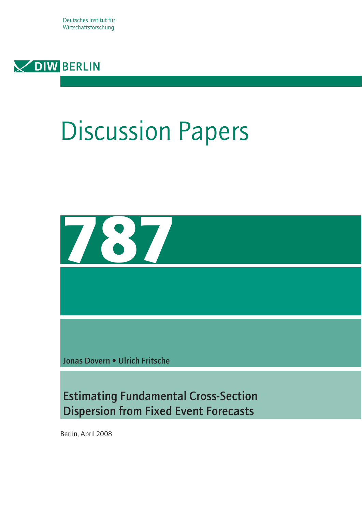Deutsches Institut für Wirtschaftsforschung



# Discussion Papers



Jonas Dovern • Ulrich Fritsche

Estimating Fundamental Cross-Section Dispersion from Fixed Event Forecasts

Berlin, April 2008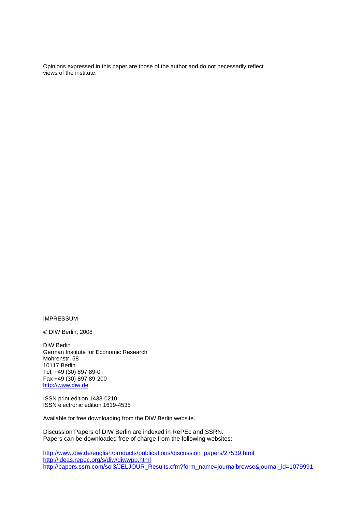Opinions expressed in this paper are those of the author and do not necessarily reflect views of the institute.

IMPRESSUM

© DIW Berlin, 2008

DIW Berlin German Institute for Economic Research Mohrenstr. 58 10117 Berlin Tel. +49 (30) 897 89-0 Fax +49 (30) 897 89-200 http://www.diw.de

ISSN print edition 1433-0210 ISSN electronic edition 1619-4535

Available for free downloading from the DIW Berlin website.

Discussion Papers of DIW Berlin are indexed in RePEc and SSRN. Papers can be downloaded free of charge from the following websites:

http://www.diw.de/english/products/publications/discussion\_papers/27539.html http://ideas.repec.org/s/diw/diwwpp.html http://papers.ssrn.com/sol3/JELJOUR\_Results.cfm?form\_name=journalbrowse&journal\_id=1079991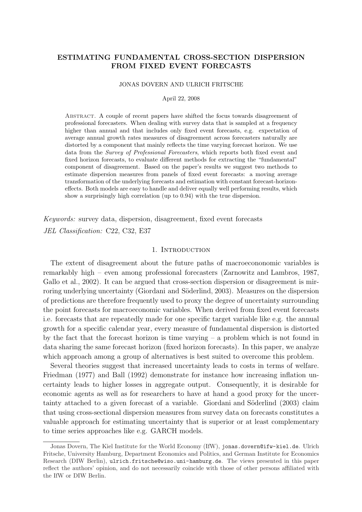# ESTIMATING FUNDAMENTAL CROSS-SECTION DISPERSION FROM FIXED EVENT FORECASTS

JONAS DOVERN AND ULRICH FRITSCHE

April 22, 2008

Abstract. A couple of recent papers have shifted the focus towards disagreement of professional forecasters. When dealing with survey data that is sampled at a frequency higher than annual and that includes only fixed event forecasts, e.g. expectation of average annual growth rates measures of disagreement across forecasters naturally are distorted by a component that mainly reflects the time varying forecast horizon. We use data from the Survey of Professional Forecasters, which reports both fixed event and fixed horizon forecasts, to evaluate different methods for extracting the "fundamental" component of disagreement. Based on the paper's results we suggest two methods to estimate dispersion measures from panels of fixed event forecasts: a moving average transformation of the underlying forecasts and estimation with constant forecast-horizoneffects. Both models are easy to handle and deliver equally well performing results, which show a surprisingly high correlation (up to 0.94) with the true dispersion.

Keywords: survey data, dispersion, disagreement, fixed event forecasts JEL Classification: C22, C32, E37

# 1. INTRODUCTION

The extent of disagreement about the future paths of macroecononomic variables is remarkably high – even among professional forecasters (Zarnowitz and Lambros, 1987, Gallo et al., 2002). It can be argued that cross-section dispersion or disagreement is mirroring underlying uncertainty (Giordani and Söderlind, 2003). Measures on the dispersion of predictions are therefore frequently used to proxy the degree of uncertainty surrounding the point forecasts for macroeconomic variables. When derived from fixed event forecasts i.e. forecasts that are repeatedly made for one specific target variable like e.g. the annual growth for a specific calendar year, every measure of fundamental dispersion is distorted by the fact that the forecast horizon is time varying  $-$  a problem which is not found in data sharing the same forecast horizon (fixed horizon forecasts). In this paper, we analyze which approach among a group of alternatives is best suited to overcome this problem.

Several theories suggest that increased uncertainty leads to costs in terms of welfare. Friedman (1977) and Ball (1992) demonstrate for instance how increasing inflation uncertainty leads to higher losses in aggregate output. Consequently, it is desirable for economic agents as well as for researchers to have at hand a good proxy for the uncertainty attached to a given forecast of a variable. Giordani and Söderlind (2003) claim that using cross-sectional dispersion measures from survey data on forecasts constitutes a valuable approach for estimating uncertainty that is superior or at least complementary to time series approaches like e.g. GARCH models.

Jonas Dovern, The Kiel Institute for the World Economy (IfW), jonas.dovern@ifw-kiel.de. Ulrich Fritsche, University Hamburg, Department Economics and Politics, and German Institute for Economics Research (DIW Berlin), ulrich.fritsche@wiso.uni-hamburg.de. The views presented in this paper reflect the authors' opinion, and do not necessarily coincide with those of other persons affiliated with the IfW or DIW Berlin.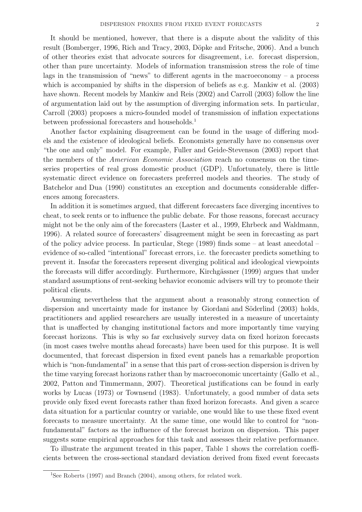It should be mentioned, however, that there is a dispute about the validity of this result (Bomberger, 1996, Rich and Tracy, 2003, Döpke and Fritsche, 2006). And a bunch of other theories exist that advocate sources for disagreement, i.e. forecast dispersion, other than pure uncertainty. Models of information transmission stress the role of time lags in the transmission of "news" to different agents in the macroeconomy  $-$  a process which is accompanied by shifts in the dispersion of beliefs as e.g. Mankiw et al. (2003) have shown. Recent models by Mankiw and Reis (2002) and Carroll (2003) follow the line of argumentation laid out by the assumption of diverging information sets. In particular, Carroll (2003) proposes a micro-founded model of transmission of inflation expectations between professional forecasters and households.<sup>1</sup>

Another factor explaining disagreement can be found in the usage of differing models and the existence of ideological beliefs. Economists generally have no consensus over "the one and only" model. For example, Fuller and Geide-Stevenson (2003) report that the members of the American Economic Association reach no consensus on the timeseries properties of real gross domestic product (GDP). Unfortunately, there is little systematic direct evidence on forecasters preferred models and theories. The study of Batchelor and Dua (1990) constitutes an exception and documents considerable differences among forecasters.

In addition it is sometimes argued, that different forecasters face diverging incentives to cheat, to seek rents or to influence the public debate. For those reasons, forecast accuracy might not be the only aim of the forecasters (Laster et al., 1999, Ehrbeck and Waldmann, 1996). A related source of forecasters' disagreement might be seen in forecasting as part of the policy advice process. In particular, Stege (1989) finds some – at least anecdotal – evidence of so-called "intentional" forecast errors, i.e. the forecaster predicts something to prevent it. Insofar the forecasters represent diverging political and ideological viewpoints the forecasts will differ accordingly. Furthermore, Kirchgässner (1999) argues that under standard assumptions of rent-seeking behavior economic advisers will try to promote their political clients.

Assuming nevertheless that the argument about a reasonably strong connection of dispersion and uncertainty made for instance by Giordani and Söderlind (2003) holds, practitioners and applied researchers are usually interested in a measure of uncertainty that is unaffected by changing institutional factors and more importantly time varying forecast horizons. This is why so far exclusively survey data on fixed horizon forecasts (in most cases twelve months ahead forecasts) have been used for this purpose. It is well documented, that forecast dispersion in fixed event panels has a remarkable proportion which is "non-fundamental" in a sense that this part of cross-section dispersion is driven by the time varying forecast horizons rather than by macroeconomic uncertainty (Gallo et al., 2002, Patton and Timmermann, 2007). Theoretical justifications can be found in early works by Lucas (1973) or Townsend (1983). Unfortunately, a good number of data sets provide only fixed event forecasts rather than fixed horizon forecasts. And given a scarce data situation for a particular country or variable, one would like to use these fixed event forecasts to measure uncertainty. At the same time, one would like to control for "nonfundamental" factors as the influence of the forecast horizon on dispersion. This paper suggests some empirical approaches for this task and assesses their relative performance.

To illustrate the argument treated in this paper, Table 1 shows the correlation coefficients between the cross-sectional standard deviation derived from fixed event forecasts

<sup>&</sup>lt;sup>1</sup>See Roberts (1997) and Branch (2004), among others, for related work.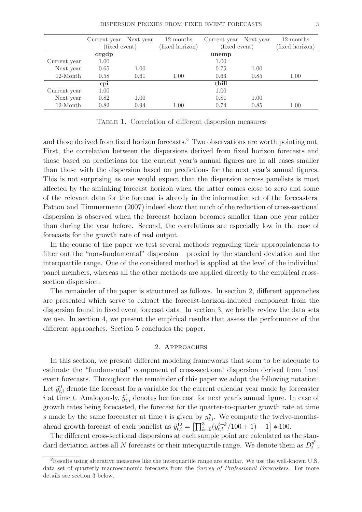|              | Current year  | Next year | 12-months       | Current year  | Next year       | 12-months |
|--------------|---------------|-----------|-----------------|---------------|-----------------|-----------|
|              | (fixed event) |           | (fixed horizon) | (fixed event) | (fixed horizon) |           |
|              | drgdp         |           |                 |               |                 |           |
| Current year | 1.00          |           |                 | 1.00          |                 |           |
| Next year    | 0.65          | 1.00      |                 | 0.75          | 1.00            |           |
| 12-Month     | 0.61<br>0.58  |           | 0.63<br>1.00    |               | 0.85            | 1.00      |
|              | cpi           |           |                 | tbill         |                 |           |
| Current year | 1.00          |           |                 | 1.00          |                 |           |
| Next year    | 0.82          | 1.00      |                 | 0.81          | 1.00            |           |
| $12$ -Month  | 0.82          | 0.94      | 1.00            | 0.74          | 0.85            | 1.00      |

Table 1. Correlation of different dispersion measures

and those derived from fixed horizon forecasts.<sup>2</sup> Two observations are worth pointing out. First, the correlation between the dispersions derived from fixed horizon forecasts and those based on predictions for the current year's annual figures are in all cases smaller than those with the dispersion based on predictions for the next year's annual figures. This is not surprising as one would expect that the dispersion across panelists is most affected by the shrinking forecast horizon when the latter comes close to zero and some of the relevant data for the forecast is already in the information set of the forecasters. Patton and Timmermann (2007) indeed show that much of the reduction of cross-sectional dispersion is observed when the forecast horizon becomes smaller than one year rather than during the year before. Second, the correlations are especially low in the case of forecasts for the growth rate of real output.

In the course of the paper we test several methods regarding their appropriateness to filter out the "non-fundamental" dispersion – proxied by the standard deviation and the interquartile range. One of the considered method is applied at the level of the individual panel members, whereas all the other methods are applied directly to the empirical crosssection dispersion.

The remainder of the paper is structured as follows. In section 2, different approaches are presented which serve to extract the forecast-horizon-induced component from the dispersion found in fixed event forecast data. In section 3, we briefly review the data sets we use. In section 4, we present the empirical results that assess the performance of the different approaches. Section 5 concludes the paper.

#### 2. Approaches

In this section, we present different modeling frameworks that seem to be adequate to estimate the "fundamental" component of cross-sectional dispersion derived from fixed event forecasts. Throughout the remainder of this paper we adopt the following notation: Let  $\tilde{y}_{t,i}^0$  denote the forecast for a variable for the current calendar year made by forecaster i at time t. Analogously,  $\tilde{y}_{t,i}^1$  denotes her forecast for next year's annual figure. In case of growth rates being forecasted, the forecast for the quarter-to-quarter growth rate at time s made by the same forecaster at time t is given by  $y_{t,i}^s$ . We compute the twelve-monthsahead growth forecast of each panelist as  $\hat{y}_{t,i}^{12} =$  $\frac{10y}{113}$  $t_{k=0}^{3}(y_{t,i}^{t+k}/100+1)-1$ י<br>ד ∗ 100.

The different cross-sectional dispersions at each sample point are calculated as the standard deviation across all N forecasts or their interquartile range. We denote them as  $D_t^{\tilde{y}^0}$  $\frac{y^{\circ}}{t}$ ,

<sup>2</sup>Results using alterative measures like the interquartile range are similar. We use the well-known U.S. data set of quarterly macroeconomic forecasts from the Survey of Professional Forecasters. For more details see section 3 below.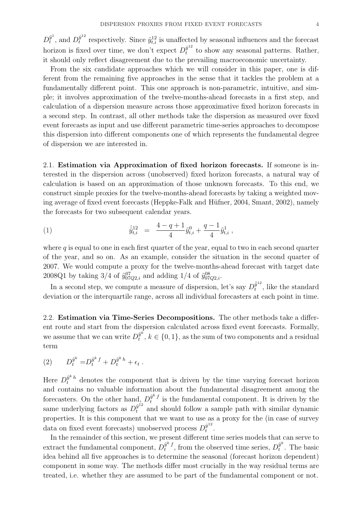$D_t^{\tilde y^1}$  $\tilde{y}^1_t$ , and  $D_t^{\hat{y}^{12}}$  $\hat{y}^{12}$  respectively. Since  $\hat{y}^{12}_{t,i}$  is unaffected by seasonal influences and the forecast horizon is fixed over time, we don't expect  $D_t^{\hat{y}^{12}}$  $y^{T}$  to show any seasonal patterns. Rather, it should only reflect disagreement due to the prevailing macroeconomic uncertainty.

From the six candidate approaches which we will consider in this paper, one is different from the remaining five approaches in the sense that it tackles the problem at a fundamentally different point. This one approach is non-parametric, intuitive, and simple; it involves approximation of the twelve-months-ahead forecasts in a first step, and calculation of a dispersion measure across those approximative fixed horizon forecasts in a second step. In contrast, all other methods take the dispersion as measured over fixed event forecasts as input and use different parametric time-series approaches to decompose this dispersion into different components one of which represents the fundamental degree of dispersion we are interested in.

2.1. Estimation via Approximation of fixed horizon forecasts. If someone is interested in the dispersion across (unobserved) fixed horizon forecasts, a natural way of calculation is based on an approximation of those unknown forecasts. To this end, we construct simple proxies for the twelve-months-ahead forecasts by taking a weighted moving average of fixed event forecasts (Heppke-Falk and Hüfner, 2004, Smant, 2002), namely the forecasts for two subsequent calendar years.

(1) 
$$
\hat{y}_{t,i}^{12} = \frac{4-q+1}{4} \tilde{y}_{t,i}^0 + \frac{q-1}{4} \tilde{y}_{t,i}^1,
$$

where  $q$  is equal to one in each first quarter of the year, equal to two in each second quarter of the year, and so on. As an example, consider the situation in the second quarter of 2007. We would compute a proxy for the twelve-months-ahead forecast with target date 2008Q1 by taking 3/4 of  $\tilde{y}_{07Q2,i}^{07}$  and adding 1/4 of  $\tilde{y}_{07Q2,i}^{08}$ .

In a second step, we compute a measure of dispersion, let's say  $D_t^{\hat{\theta}^{12}}$  $\int_t^{y^{12}}$ , like the standard deviation or the interquartile range, across all individual forecasters at each point in time.

2.2. Estimation via Time-Series Decompositions. The other methods take a different route and start from the dispersion calculated across fixed event forecasts. Formally, we assume that we can write  $D_t^{\tilde{y}^k}$  $y^{\kappa}$ ,  $k \in \{0, 1\}$ , as the sum of two components and a residual term

(2) 
$$
D_t^{\tilde{y}^k} = D_t^{\tilde{y}^k f} + D_t^{\tilde{y}^k h} + \epsilon_t.
$$

Here  $D_t^{\hat{y}^k h}$  denotes the component that is driven by the time varying forecast horizon and contains no valuable information about the fundamental disagreement among the forecasters. On the other hand,  $D_t^{\tilde{y}^k}$  $y^{n}$  is the fundamental component. It is driven by the same underlying factors as  $D_t^{\hat{y}^{12}}$  and should follow a sample path with similar dynamic properties. It is this component that we want to use as a proxy for the (in case of survey data on fixed event forecasts) unobserved process  $D_t^{\hat{y}^{12}}$  $\frac{y^{12}}{t}$ .

In the remainder of this section, we present different time series models that can serve to extract the fundamental component,  $D_t^{\tilde{y}^k}$  $\tilde{y}^k{}_t^f,$  from the observed time series,  $D_t^{\tilde{y}^k}$  $u_t^{\theta^*}$ . The basic idea behind all five approaches is to determine the seasonal (forecast horizon dependent) component in some way. The methods differ most crucially in the way residual terms are treated, i.e. whether they are assumed to be part of the fundamental component or not.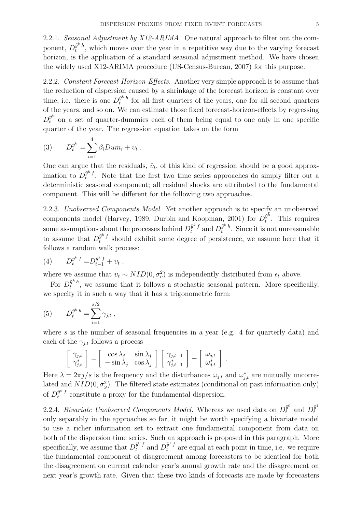2.2.1. Seasonal Adjustment by X12-ARIMA. One natural approach to filter out the component,  $D_t^{\tilde{y}^k h}$  $y^{n}$ <sup>n</sup>, which moves over the year in a repetitive way due to the varying forecast horizon, is the application of a standard seasonal adjustment method. We have chosen the widely used X12-ARIMA procedure (US-Census-Bureau, 2007) for this purpose.

2.2.2. Constant Forecast-Horizon-Effects. Another very simple approach is to assume that the reduction of dispersion caused by a shrinkage of the forecast horizon is constant over time, i.e. there is one  $D_t^{\tilde{y}^k h}$  $y^{n}$ <sup>n</sup> for all first quarters of the years, one for all second quarters of the years, and so on. We can estimate those fixed forecast-horizon-effects by regressing  $D_t^{\tilde{y}^k}$  on a set of quarter-dummies each of them being equal to one only in one specific quarter of the year. The regression equation takes on the form

(3) 
$$
D_t^{\hat{y}^k} = \sum_{i=1}^4 \beta_i D u m_i + v_t.
$$

One can argue that the residuals,  $\hat{v}_t$ , of this kind of regression should be a good approximation to  $D_t^{\tilde{y}^k}$  $y^{n}$ . Note that the first two time series approaches do simply filter out a deterministic seasonal component; all residual shocks are attributed to the fundamental component. This will be different for the following two approaches.

2.2.3. Unobserved Components Model. Yet another approach is to specify an unobserved components model (Harvey, 1989, Durbin and Koopman, 2001) for  $D_t^{\tilde{y}^k}$  $u_t^{y^n}$ . This requires some assumptions about the processes behind  $D_t^{\tilde{y}^k f}$  and  $D_t^{\tilde{y}^k h}$  $y^{\kappa}$ <sup>h</sup>. Since it is not unreasonable to assume that  $D_t^{\tilde{y}^k f}$  $y^{n}$  should exhibit some degree of persistence, we assume here that it follows a random walk process:

(4) 
$$
D_t^{\tilde{y}^k f} = D_{t-1}^{\tilde{y}^k f} + v_t ,
$$

where we assume that  $v_t \sim NID(0, \sigma_v^2)$  is independently distributed from  $\epsilon_t$  above.

For  $D_t^{\tilde{y}^k h}$  $y^{n}$ <sup>n</sup>, we assume that it follows a stochastic seasonal pattern. More specifically, we specify it in such a way that it has a trigonometric form:

(5) 
$$
D_t^{\tilde{y}^k h} = \sum_{i=1}^{s/2} \gamma_{j,t} ,
$$

where s is the number of seasonal frequencies in a year (e.g. 4 for quarterly data) and each of the  $\gamma_{j,t}$  follows a process

$$
\begin{bmatrix} \gamma_{j,t} \\ \gamma_{j,t}^* \end{bmatrix} = \begin{bmatrix} \cos \lambda_j & \sin \lambda_j \\ -\sin \lambda_j & \cos \lambda_j \end{bmatrix} \begin{bmatrix} \gamma_{j,t-1} \\ \gamma_{j,t-1}^* \end{bmatrix} + \begin{bmatrix} \omega_{j,t} \\ \omega_{j,t}^* \end{bmatrix}.
$$

Here  $\lambda = 2\pi j/s$  is the frequency and the disturbances  $\omega_{j,t}$  and  $\omega_{j,t}^*$  are mutually uncorrelated and  $NID(0, \sigma_{\omega}^2)$ . The filtered state estimates (conditional on past information only) of  $D_t^{\tilde{y}^k\,f}$  $y^{r}$  constitute a proxy for the fundamental dispersion.

2.2.4. Bivariate Unobserved Components Model. Whereas we used data on  $D_t^{\tilde{y}^0}$  and  $D_t^{\tilde{y}^1}$ t only separably in the approaches so far, it might be worth specifying a bivariate model to use a richer information set to extract one fundamental component from data on both of the dispersion time series. Such an approach is proposed in this paragraph. More specifically, we assume that  $D_t^{\tilde{y}^0 f}$  and  $D_t^{\tilde{y}^1 f}$  are equal at each point in time, i.e. we require the fundamental component of disagreement among forecasters to be identical for both the disagreement on current calendar year's annual growth rate and the disagreement on next year's growth rate. Given that these two kinds of forecasts are made by forecasters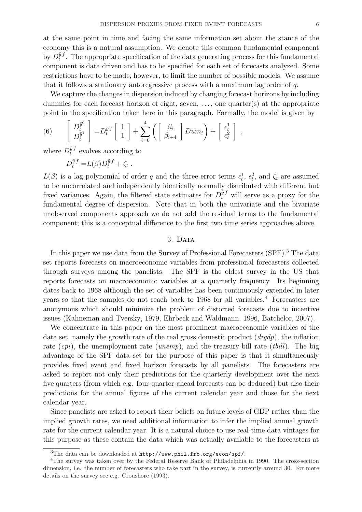We capture the changes in dispersion induced by changing forecast horizons by including dummies for each forecast horizon of eight, seven,  $\dots$ , one quarter(s) at the appropriate point in the specification taken here in this paragraph. Formally, the model is given by  $\overline{F}$   $\overline{F}$ 

that it follows a stationary autoregressive process with a maximum lag order of q.

(6) 
$$
\begin{bmatrix} D_t^{\tilde{y}^0} \\ D_t^{\tilde{y}^1} \end{bmatrix} = D_t^{\tilde{y}f} \begin{bmatrix} 1 \\ 1 \end{bmatrix} + \sum_{i=0}^4 \left( \begin{bmatrix} \beta_i \\ \beta_{i+4} \end{bmatrix} Dum_i \right) + \begin{bmatrix} \epsilon_t^1 \\ \epsilon_t^2 \end{bmatrix},
$$

where  $D_t^{\tilde{y}f}$  $t^{y f}$  evolves according to

$$
D_t^{\tilde{y}f} = L(\beta)D_t^{\tilde{y}f} + \zeta_t.
$$

 $L(\beta)$  is a lag polynomial of order q and the three error terms  $\epsilon_t^1$ ,  $\epsilon_t^2$ , and  $\zeta_t$  are assumed to be uncorrelated and independently identically normally distributed with different but fixed variances. Again, the filtered state estimates for  $D_t^{\tilde{y}f}$  will serve as a proxy for the fundamental degree of dispersion. Note that in both the univariate and the bivariate unobserved components approach we do not add the residual terms to the fundamental component; this is a conceptual difference to the first two time series approaches above.

### 3. DATA

In this paper we use data from the Survey of Professional Forecasters (SPF).<sup>3</sup> The data set reports forecasts on macroeconomic variables from professional forecasters collected through surveys among the panelists. The SPF is the oldest survey in the US that reports forecasts on macroeconomic variables at a quarterly frequency. Its beginning dates back to 1968 although the set of variables has been continuously extended in later years so that the samples do not reach back to 1968 for all variables.<sup>4</sup> Forecasters are anonymous which should minimize the problem of distorted forecasts due to incentive issues (Kahneman and Tversky, 1979, Ehrbeck and Waldmann, 1996, Batchelor, 2007).

We concentrate in this paper on the most prominent macroeconomic variables of the data set, namely the growth rate of the real gross domestic product  $(d\eta d\rho)$ , the inflation rate  $(cpi)$ , the unemployment rate (*unemp*), and the treasury-bill rate (*tbill*). The big advantage of the SPF data set for the purpose of this paper is that it simultaneously provides fixed event and fixed horizon forecasts by all panelists. The forecasters are asked to report not only their predictions for the quarterly development over the next five quarters (from which e.g. four-quarter-ahead forecasts can be deduced) but also their predictions for the annual figures of the current calendar year and those for the next calendar year.

Since panelists are asked to report their beliefs on future levels of GDP rather than the implied growth rates, we need additional information to infer the implied annual growth rate for the current calendar year. It is a natural choice to use real-time data vintages for this purpose as these contain the data which was actually available to the forecasters at

<sup>3</sup>The data can be downloaded at http://www.phil.frb.org/econ/spf/.

<sup>&</sup>lt;sup>4</sup>The survey was taken over by the Federal Reserve Bank of Philadelphia in 1990. The cross-section dimension, i.e. the number of forecasters who take part in the survey, is currently around 30. For more details on the survey see e.g. Croushore (1993).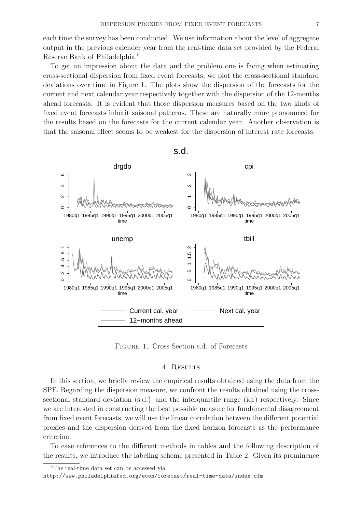each time the survey has been conducted. We use information about the level of aggregate output in the previous calender year from the real-time data set provided by the Federal Reserve Bank of Philadelphia.<sup>5</sup>

To get an impression about the data and the problem one is facing when estimating cross-sectional dispersion from fixed event forecasts, we plot the cross-sectional standard deviations over time in Figure 1. The plots show the dispersion of the forecasts for the current and next calendar year respectively together with the dispersion of the 12-months ahead forecasts. It is evident that those dispersion measures based on the two kinds of fixed event forecasts inherit saisonal patterns. These are naturally more pronounced for the results based on the forecasts for the current calendar year. Another observation is that the saisonal effect seems to be weakest for the dispersion of interest rate forecasts.



s.d.

Figure 1. Cross-Section s.d. of Forecasts

#### 4. Results

In this section, we briefly review the empirical results obtained using the data from the SPF. Regarding the dispersion measure, we confront the results obtained using the crosssectional standard deviation (s.d.) and the interquartile range (iqr) respectively. Since we are interested in constructing the best possible measure for fundamental disagreement from fixed event forecasts, we will use the linear correlation between the different potential proxies and the dispersion derived from the fixed horizon forecasts as the performance criterion.

To ease references to the different methods in tables and the following description of the results, we introduce the labeling scheme presented in Table 2. Given its prominence

<sup>5</sup>The real-time data set can be accessed via http://www.philadelphiafed.org/econ/forecast/real-time-data/index.cfm.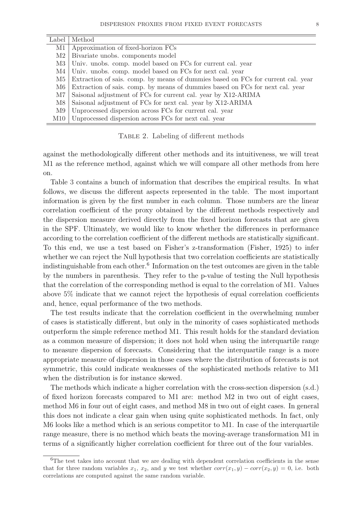| Label    | Method                                                                           |
|----------|----------------------------------------------------------------------------------|
| M1       | Approximation of fixed-horizon FCs                                               |
| $\rm M2$ | Bivariate unobs. components model                                                |
| M3       | Univ. unobs. comp. model based on FCs for current cal. year                      |
| M4       | Univ. unobs. comp. model based on FCs for next cal. year                         |
| M5       | Extraction of sais. comp. by means of dummies based on FCs for current cal. year |
| M6       | Extraction of sais. comp. by means of dummies based on FCs for next cal. year    |
| M7       | Saisonal adjustment of FCs for current cal. year by X12-ARIMA                    |
| M8       | Saisonal adjustment of FCs for next cal. year by X12-ARIMA                       |
| M9       | Unprocessed dispersion across FCs for current cal. year                          |
| M10      | Unprocessed dispersion across FCs for next cal. year                             |

TABLE 2. Labeling of different methods

against the methodologically different other methods and its intuitiveness, we will treat M1 as the reference method, against which we will compare all other methods from here on.

Table 3 contains a bunch of information that describes the empirical results. In what follows, we discuss the different aspects represented in the table. The most important information is given by the first number in each column. Those numbers are the linear correlation coefficient of the proxy obtained by the different methods respectively and the dispersion measure derived directly from the fixed horizon forecasts that are given in the SPF. Ultimately, we would like to know whether the differences in performance according to the correlation coefficient of the different methods are statistically significant. To this end, we use a test based on Fisher's z-transformation (Fisher, 1925) to infer whether we can reject the Null hypothesis that two correlation coefficients are statistically indistinguishable from each other.<sup>6</sup> Information on the test outcomes are given in the table by the numbers in parenthesis. They refer to the p-value of testing the Null hypothesis that the correlation of the corresponding method is equal to the correlation of M1. Values above 5% indicate that we cannot reject the hypothesis of equal correlation coefficients and, hence, equal performance of the two methods.

The test results indicate that the correlation coefficient in the overwhelming number of cases is statistically different, but only in the minority of cases sophisticated methods outperform the simple reference method M1. This result holds for the standard deviation as a common measure of dispersion; it does not hold when using the interquartile range to measure dispersion of forecasts. Considering that the interquartile range is a more appropriate measure of dispersion in those cases where the distribution of forecasts is not symmetric, this could indicate weaknesses of the sophisticated methods relative to M1 when the distribution is for instance skewed.

The methods which indicate a higher correlation with the cross-section dispersion (s.d.) of fixed horizon forecasts compared to M1 are: method M2 in two out of eight cases, method M6 in four out of eight cases, and method M8 in two out of eight cases. In general this does not indicate a clear gain when using quite sophisticated methods. In fact, only M6 looks like a method which is an serious competitor to M1. In case of the interquartile range measure, there is no method which beats the moving-average transformation M1 in terms of a significantly higher correlation coefficient for three out of the four variables.

<sup>&</sup>lt;sup>6</sup>The test takes into account that we are dealing with dependent correlation coefficients in the sense that for three random variables  $x_1, x_2$ , and y we test whether  $corr(x_1, y) - corr(x_2, y) = 0$ , i.e. both correlations are computed against the same random variable.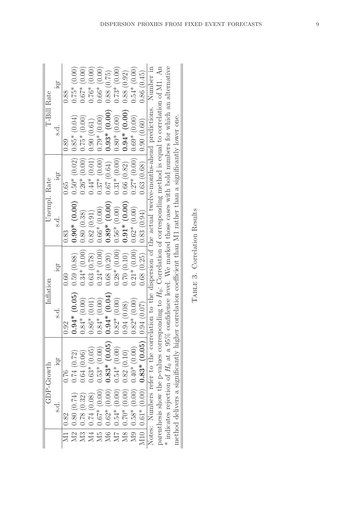|              | IQT           | 0.88             | $0.75*(0.00)$  | $0.67*$ (0.00)                                              | $0.76*(0.00)$  | $0.66*(0.00)$  | 0.88(0.75)                             | $0.73*$ (0.00)             | 0.88(0.92)                                                       | $0.54*$ (0.00)                | 0.86(0.45)                        |                                                                                                                    |                                                                                                                              |                                                                                                                              |                                                                                                               |                              |  |
|--------------|---------------|------------------|----------------|-------------------------------------------------------------|----------------|----------------|----------------------------------------|----------------------------|------------------------------------------------------------------|-------------------------------|-----------------------------------|--------------------------------------------------------------------------------------------------------------------|------------------------------------------------------------------------------------------------------------------------------|------------------------------------------------------------------------------------------------------------------------------|---------------------------------------------------------------------------------------------------------------|------------------------------|--|
| T-Bill Rate  | s.d.          | 0.89             | $0.85*(0.04)$  | $0.75*(0.00)$                                               | 0.90(0.61)     | $0.79*(0.00)$  | $0.93*(0.00)$                          | $0.80*(0.00)$              | $0.94*$ (0.00)                                                   | $0.69*(0.00)$                 | 0.90(0.60)                        | Notes: Numbers refer to the correlation to the dispersion of the actual twelve-months-ahead predictions. Number in | parenthesis show the p-values corresponding to $H_0$ : Correlation of corresponding method is equal to correlation of M1. An | $*$ indicates rejection of $H_0$ at a 95% confidence level. We marked those cases with bold numbers for which an alternative |                                                                                                               |                              |  |
| Unempl. Rate | IQT           | 0.65             | $0.50*(0.02)$  | $0.26*(0.00)$                                               | $0.44*$ (0.01) | $0.37*$ (0.00) | 0.67(0.64)                             | $0.31*(0.00)$              | 0.66(0.82)                                                       | $0.27*$ (0.00)                | 0.63(0.68)                        |                                                                                                                    |                                                                                                                              |                                                                                                                              |                                                                                                               |                              |  |
|              | $\frac{d}{d}$ | 0.83             | $0.90*(0.00)$  | 0.80(0.38)                                                  | 0.82(0.91)     | $0.66*(0.00)$  | $0.89*$ (0.00)                         | $0.28*(0.00)$ 0.56* (0.00) | $0.91*$ (0.00)                                                   | $0.21*(0.00)$ 0.62* (0.00)    |                                   |                                                                                                                    |                                                                                                                              |                                                                                                                              |                                                                                                               |                              |  |
|              | iqr           | 0.60             | 0.59(0.88)     | $0.34*(0.00)$                                               | 0.63(0.78)     | $0.24*(0.00)$  | 0.68(0.20)                             |                            | 0.70(0.10)                                                       |                               | $0.68$ (0.25) $\mid$ 0.83 (0.94)  |                                                                                                                    |                                                                                                                              |                                                                                                                              |                                                                                                               | TABLE 3. Correlation Results |  |
| Inflation    | s.d.          | 0.92             | $0.94*$ (0.05) | $0.84*$ (0.00)                                              | $0.86*$ (0.01) | $0.84*(0.00)$  | $0.94*(0.04)$                          | $0.82*(0.00)$              | 0.94(0.08)                                                       | $0.82*(0.00)$                 | 0.94(0.07)                        |                                                                                                                    |                                                                                                                              |                                                                                                                              |                                                                                                               |                              |  |
| GDP-Growth   | iqr           | 0.76             | 0.74(0.72)     | 0.64(0.06)                                                  | $0.63*(0.05)$  | $0.53*(0.00)$  | $0.83*(0.05)$                          | $0.54*(0.00)$              |                                                                  | $0.82(0.10)$<br>$0.40*(0.00)$ |                                   |                                                                                                                    |                                                                                                                              |                                                                                                                              | method delivers a significantly higher correlation coefficient than M1 rather than a significantly lower one. |                              |  |
|              | s.d.          | 0.82             | 0.80(0.74)     | $\begin{array}{c} 0.78\ (0.32) \\ 0.74\ (0.08) \end{array}$ |                | $0.67* (0.00)$ | $0.62*(0.00)$                          |                            | $\begin{bmatrix} 0.54* & (0.00) \\ 0.70* & (0.00) \end{bmatrix}$ | $0.58*(0.00)$                 | $M10   0.61* (0.00) 0.83* (0.05)$ |                                                                                                                    |                                                                                                                              |                                                                                                                              |                                                                                                               |                              |  |
|              |               | $\overline{\Xi}$ |                |                                                             |                |                | $224$<br>$234$<br>$25$<br>$25$<br>$25$ |                            | M8                                                               | $\overline{\text{M9}}$        |                                   |                                                                                                                    |                                                                                                                              |                                                                                                                              |                                                                                                               |                              |  |

| Correlation Results |  |
|---------------------|--|
|                     |  |
| TABLE 3.            |  |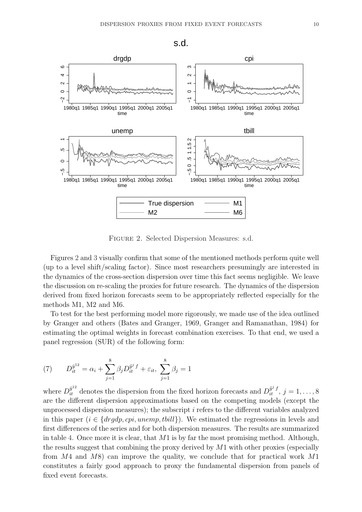

Figure 2. Selected Dispersion Measures: s.d.

True dispersion M1 M2 M6

time

Figures 2 and 3 visually confirm that some of the mentioned methods perform quite well (up to a level shift/scaling factor). Since most researchers presumingly are interested in the dynamics of the cross-section dispersion over time this fact seems negligible. We leave the discussion on re-scaling the proxies for future research. The dynamics of the dispersion derived from fixed horizon forecasts seem to be appropriately reflected especially for the methods M1, M2 and M6.

To test for the best performing model more rigorously, we made use of the idea outlined by Granger and others (Bates and Granger, 1969, Granger and Ramanathan, 1984) for estimating the optimal weights in forecast combination exercises. To that end, we used a panel regression (SUR) of the following form:

(7) 
$$
D_{it}^{\hat{y}^{12}} = \alpha_i + \sum_{j=1}^{8} \beta_j D_{it}^{\hat{y}^j f} + \varepsilon_{it}, \ \sum_{j=1}^{8} \beta_j = 1
$$

time

where  $D_{it}^{\hat{y}^{12}}$  denotes the dispersion from the fixed horizon forecasts and  $D_{it}^{\tilde{y}^{j}f}$ ,  $j = 1, ..., 8$ are the different dispersion approximations based on the competing models (except the unprocessed dispersion measures); the subscript  $i$  refers to the different variables analyzed in this paper ( $i \in \{drgdp, cpi, unemp, toll\}$ ). We estimated the regressions in levels and first differences of the series and for both dispersion measures. The results are summarized in table 4. Once more it is clear, that  $M1$  is by far the most promising method. Although, the results suggest that combining the proxy derived by  $M1$  with other proxies (especially from  $M4$  and  $M8$ ) can improve the quality, we conclude that for practical work  $M1$ constitutes a fairly good approach to proxy the fundamental dispersion from panels of fixed event forecasts.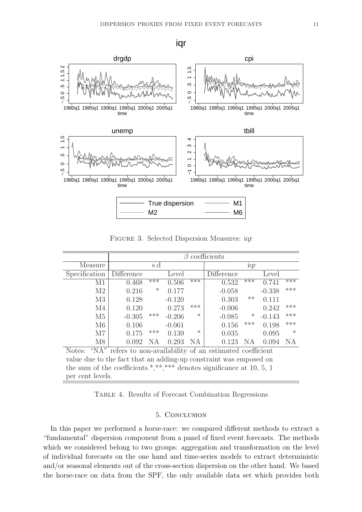iqr



Figure 3. Selected Dispersion Measures: iqr

|               | coefficients<br>$\beta$                                     |     |          |        |            |        |          |        |  |  |  |
|---------------|-------------------------------------------------------------|-----|----------|--------|------------|--------|----------|--------|--|--|--|
| Measure       |                                                             | s.d |          | 1qr    |            |        |          |        |  |  |  |
| Specification | Difference                                                  |     | Level    |        | Difference |        | Level    |        |  |  |  |
| M1            | 0.468                                                       | *** | 0.506    | ***    | 0.532      | ***    | 0.741    | ***    |  |  |  |
| M2            | 0.216                                                       | ∗   | 0.177    |        | $-0.058$   |        | $-0.338$ | ***    |  |  |  |
| M3            | 0.128                                                       |     | $-0.120$ |        | 0.303      | $***$  | 0.111    |        |  |  |  |
| M4            | 0.120                                                       |     | 0.273    | ***    | $-0.006$   |        | 0.242    | ***    |  |  |  |
| M5            | $-0.305$                                                    | *** | $-0.206$ | $\ast$ | $-0.085$   | $\ast$ | $-0.143$ | ***    |  |  |  |
| M6            | 0.106                                                       |     | $-0.061$ |        | 0.156      | ***    | 0.198    | ***    |  |  |  |
| $\rm M7$      | 0.175                                                       | *** | 0.139    | $\ast$ | 0.035      |        | 0.095    | $\ast$ |  |  |  |
| M8            | 0.092                                                       | NA  | 0.293    | NA     | 0.123      | ΝA     | 0.094    | ΝA     |  |  |  |
| Notes:        | "NA" refers to non-availability of an estimated coefficient |     |          |        |            |        |          |        |  |  |  |

value due to the fact that an adding-up constraint was emposed on the sum of the coefficients.\*,\*\*,\*\*\* denotes significance at 10, 5, 1 per cent levels.

Table 4. Results of Forecast Combination Regressions

## 5. Conclusion

In this paper we performed a horse-race: we compared different methods to extract a "fundamental" dispersion component from a panel of fixed event forecasts. The methods which we considered belong to two groups: aggregation and transformation on the level of individual forecasts on the one hand and time-series models to extract deterministic and/or seasonal elements out of the cross-section dispersion on the other hand. We based the horse-race on data from the SPF, the only available data set which provides both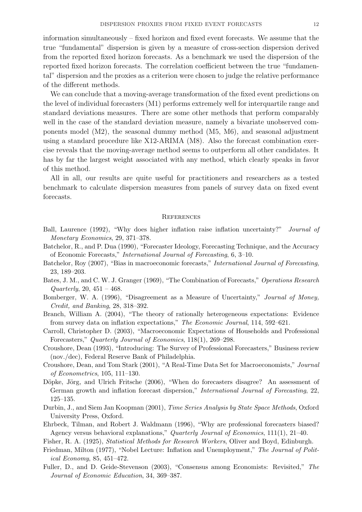information simultaneously – fixed horizon and fixed event forecasts. We assume that the true "fundamental" dispersion is given by a measure of cross-section dispersion derived from the reported fixed horizon forecasts. As a benchmark we used the dispersion of the reported fixed horizon forecasts. The correlation coefficient between the true "fundamental" dispersion and the proxies as a criterion were chosen to judge the relative performance of the different methods.

We can conclude that a moving-average transformation of the fixed event predictions on the level of individual forecasters (M1) performs extremely well for interquartile range and standard deviations measures. There are some other methods that perform comparably well in the case of the standard deviation measure, namely a bivariate unobserved components model (M2), the seasonal dummy method (M5, M6), and seasonal adjustment using a standard procedure like X12-ARIMA (M8). Also the forecast combination exercise reveals that the moving-average method seems to outperform all other candidates. It has by far the largest weight associated with any method, which clearly speaks in favor of this method.

All in all, our results are quite useful for practitioners and researchers as a tested benchmark to calculate dispersion measures from panels of survey data on fixed event forecasts.

#### **REFERENCES**

- Ball, Laurence (1992), "Why does higher inflation raise inflation uncertainty?" Journal of Monetary Economics, 29, 371–378.
- Batchelor, R., and P. Dua (1990), "Forecaster Ideology, Forecasting Technique, and the Accuracy of Economic Forecasts," International Journal of Forecasting, 6, 3–10.
- Batchelor, Roy (2007), "Bias in macroeconomic forecasts," International Journal of Forecasting, 23, 189–203.
- Bates, J. M., and C. W. J. Granger (1969), "The Combination of Forecasts," Operations Research  $Quarterly, 20, 451 - 468.$
- Bomberger, W. A. (1996), "Disagreement as a Measure of Uncertainty," Journal of Money, Credit, and Banking, 28, 318–392.
- Branch, William A. (2004), "The theory of rationally heterogeneous expectations: Evidence from survey data on inflation expectations," The Economic Journal, 114, 592–621.
- Carroll, Christopher D. (2003), "Macroeconomic Expectations of Households and Professional Forecasters," Quarterly Journal of Economics, 118(1), 269–298.
- Croushore, Dean (1993), "Introducing: The Survey of Professional Forecasters," Business review (nov./dec), Federal Reserve Bank of Philadelphia.
- Croushore, Dean, and Tom Stark (2001), "A Real-Time Data Set for Macroeconomists," Journal of Econometrics, 105, 111–130.
- Döpke, Jörg, and Ulrich Fritsche (2006), "When do forecasters disagree? An assessment of German growth and inflation forecast dispersion," International Journal of Forecasting, 22, 125–135.
- Durbin, J., and Siem Jan Koopman (2001), Time Series Analysis by State Space Methods, Oxford University Press, Oxford.
- Ehrbeck, Tilman, and Robert J. Waldmann (1996), "Why are professional forecasters biased? Agency versus behavioral explanations," Quarterly Journal of Economics, 111(1), 21–40.
- Fisher, R. A. (1925), Statistical Methods for Research Workers, Oliver and Boyd, Edinburgh.
- Friedman, Milton (1977), "Nobel Lecture: Inflation and Unemployment," The Journal of Political Economy, 85, 451–472.
- Fuller, D., and D. Geide-Stevenson (2003), "Consensus among Economists: Revisited," The Journal of Economic Education, 34, 369–387.